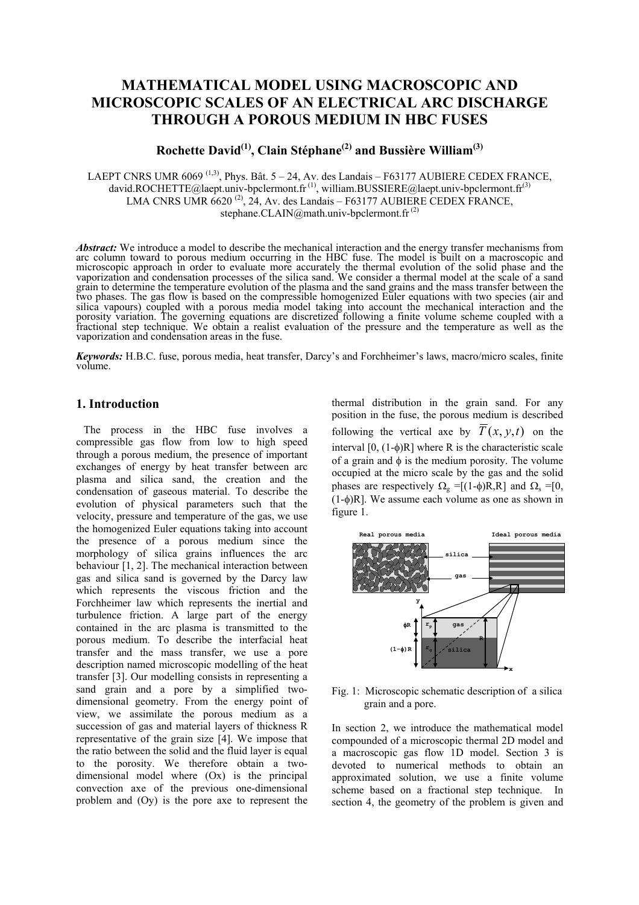# **MATHEMATICAL MODEL USING MACROSCOPIC AND MICROSCOPIC SCALES OF AN ELECTRICAL ARC DISCHARGE THROUGH A POROUS MEDIUM IN HBC FUSES**

# **Rochette David(1), Clain Stéphane(2) and Bussière William(3)**

LAEPT CNRS UMR  $6069$ <sup>(1,3)</sup>, Phys. Bât.  $5 - 24$ , Av. des Landais – F63177 AUBIERE CEDEX FRANCE, david.ROCHETTE@laept.univ-bpclermont.fr<sup>(1)</sup>, william.BUSSIERE@laept.univ-bpclermont.fr<sup>(3)</sup> LMA CNRS UMR  $6620^{(2)}$ , 24, Av. des Landais – F63177 AUBIERE CEDEX FRANCE, stephane.CLAIN@math.univ-bpclermont.fr $^{(2)}$ 

*Abstract:* We introduce a model to describe the mechanical interaction and the energy transfer mechanisms from arc column toward to porous medium occurring in the HBC fuse. The model is built on a macroscopic and microscopic approach in order to evaluate more accurately the thermal evolution of the solid phase and the vaporization and condensation processes of the silica sand. We consider a thermal model at the scale of a sand grain to determine the temperature evolution of the plasma and the sand grains and the mass transfer between the two phases. The gas flow is based on the compressible homogenized Euler equations with two species (air and silica vapours) coupled with a porous media model taking into account the mechanical interaction and the porosity variation. The governing equations are discretized following a finite volume scheme coupled with a fractional step technique. We obtain a realist evaluation of the pressure and the temperature as well as the vaporization and condensation areas in the fuse.

*Keywords:* H.B.C. fuse, porous media, heat transfer, Darcy's and Forchheimer's laws, macro/micro scales, finite volume.

# **1. Introduction**

The process in the HBC fuse involves a compressible gas flow from low to high speed through a porous medium, the presence of important exchanges of energy by heat transfer between arc plasma and silica sand, the creation and the condensation of gaseous material. To describe the evolution of physical parameters such that the velocity, pressure and temperature of the gas, we use the homogenized Euler equations taking into account the presence of a porous medium since the morphology of silica grains influences the arc behaviour [1, 2]. The mechanical interaction between gas and silica sand is governed by the Darcy law which represents the viscous friction and the Forchheimer law which represents the inertial and turbulence friction. A large part of the energy contained in the arc plasma is transmitted to the porous medium. To describe the interfacial heat transfer and the mass transfer, we use a pore description named microscopic modelling of the heat transfer [3]. Our modelling consists in representing a sand grain and a pore by a simplified twodimensional geometry. From the energy point of view, we assimilate the porous medium as a succession of gas and material layers of thickness R representative of the grain size [4]. We impose that the ratio between the solid and the fluid layer is equal to the porosity. We therefore obtain a twodimensional model where (Ox) is the principal convection axe of the previous one-dimensional problem and (Oy) is the pore axe to represent the

thermal distribution in the grain sand. For any position in the fuse, the porous medium is described following the vertical axe by  $\overline{T}(x, y, t)$  on the interval  $[0, (1-\phi)R]$  where R is the characteristic scale of a grain and  $\phi$  is the medium porosity. The volume occupied at the micro scale by the gas and the solid phases are respectively  $\Omega_{\rm g}$  =[(1-φ)R,R] and  $\Omega_{\rm s}$  =[0,  $(1-\phi)R$ . We assume each volume as one as shown in figure 1.



Fig. 1: Microscopic schematic description of a silica grain and a pore.

In section 2, we introduce the mathematical model compounded of a microscopic thermal 2D model and a macroscopic gas flow 1D model. Section 3 is devoted to numerical methods to obtain an approximated solution, we use a finite volume scheme based on a fractional step technique. In section 4, the geometry of the problem is given and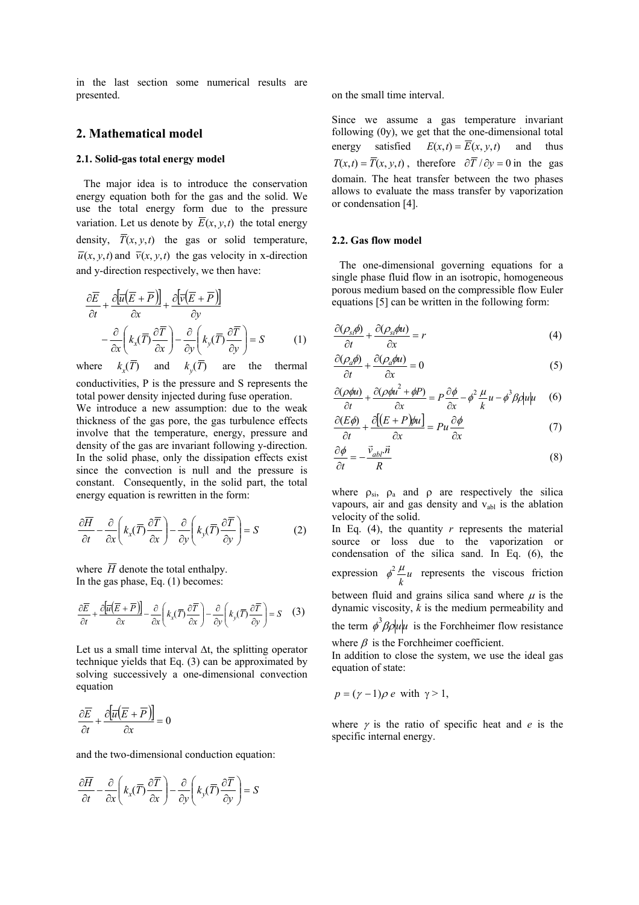in the last section some numerical results are presented.

### **2. Mathematical model**

#### **2.1. Solid-gas total energy model**

The major idea is to introduce the conservation energy equation both for the gas and the solid. We use the total energy form due to the pressure variation. Let us denote by  $\overline{E}(x, y, t)$  the total energy density,  $\overline{T}(x, y, t)$  the gas or solid temperature,  $\overline{u}(x, y, t)$  and  $\overline{v}(x, y, t)$  the gas velocity in x-direction and y-direction respectively, we then have:

$$
\frac{\partial \overline{E}}{\partial t} + \frac{\partial \left[\overline{u}(\overline{E} + \overline{P})\right]}{\partial x} + \frac{\partial \left[\overline{v}(\overline{E} + \overline{P})\right]}{\partial y} \n- \frac{\partial}{\partial x} \left(k_x(\overline{T}) \frac{\partial \overline{T}}{\partial x}\right) - \frac{\partial}{\partial y} \left(k_y(\overline{T}) \frac{\partial \overline{T}}{\partial y}\right) = S
$$
\n(1)

 $where$  $k_{r}(\overline{T})$ and  $k_y(T)$  are the thermal conductivities, P is the pressure and S represents the total power density injected during fuse operation.

We introduce a new assumption: due to the weak thickness of the gas pore, the gas turbulence effects involve that the temperature, energy, pressure and density of the gas are invariant following y-direction. In the solid phase, only the dissipation effects exist since the convection is null and the pressure is constant. Consequently, in the solid part, the total energy equation is rewritten in the form:

$$
\frac{\partial \overline{H}}{\partial t} - \frac{\partial}{\partial x} \left( k_x(\overline{T}) \frac{\partial \overline{T}}{\partial x} \right) - \frac{\partial}{\partial y} \left( k_y(\overline{T}) \frac{\partial \overline{T}}{\partial y} \right) = S \tag{2}
$$

where  $\overline{H}$  denote the total enthalpy. In the gas phase, Eq. (1) becomes:

$$
\frac{\partial \overline{E}}{\partial t} + \frac{\partial \left[\overline{u}(\overline{E} + \overline{P})\right]}{\partial x} - \frac{\partial}{\partial x}\left(k_x(\overline{T})\frac{\partial \overline{T}}{\partial x}\right) - \frac{\partial}{\partial y}\left(k_y(\overline{T})\frac{\partial \overline{T}}{\partial y}\right) = S \quad (3)
$$

Let us a small time interval ∆t, the splitting operator technique yields that Eq. (3) can be approximated by solving successively a one-dimensional convection equation

$$
\frac{\partial \overline{E}}{\partial t} + \frac{\partial \left[ \overline{u} \left( \overline{E} + \overline{P} \right) \right]}{\partial x} = 0
$$

and the two-dimensional conduction equation:

$$
\frac{\partial \overline{H}}{\partial t} - \frac{\partial}{\partial x} \left( k_x(\overline{T}) \frac{\partial \overline{T}}{\partial x} \right) - \frac{\partial}{\partial y} \left( k_y(\overline{T}) \frac{\partial \overline{T}}{\partial y} \right) = S
$$

on the small time interval.

Since we assume a gas temperature invariant following (0y), we get that the one-dimensional total energy satisfied  $E(x,t) = \overline{E}(x, y, t)$  and thus  $T(x,t) = \overline{T}(x, y, t)$ , therefore  $\partial \overline{T} / \partial y = 0$  in the gas domain. The heat transfer between the two phases allows to evaluate the mass transfer by vaporization or condensation [4].

#### **2.2. Gas flow model**

The one-dimensional governing equations for a single phase fluid flow in an isotropic, homogeneous porous medium based on the compressible flow Euler equations [5] can be written in the following form:

$$
\frac{\partial(\rho_{st}\phi)}{\partial t} + \frac{\partial(\rho_{st}\phi u)}{\partial x} = r \tag{4}
$$

$$
\frac{\partial(\rho_a \phi)}{\partial t} + \frac{\partial(\rho_a \phi u)}{\partial x} = 0
$$
\n(5)

$$
\frac{\partial(\rho\phi u)}{\partial t} + \frac{\partial(\rho\phi u^2 + \phi P)}{\partial x} = P \frac{\partial\phi}{\partial x} - \phi^2 \frac{\mu}{k} u - \phi^3 \beta \rho |u| \mu \quad (6)
$$

$$
\frac{\partial (E\phi)}{\partial t} + \frac{\partial [(E+P)\phi u]}{\partial x} = Pu \frac{\partial \phi}{\partial x}
$$
(7)

$$
\frac{\partial \phi}{\partial t} = -\frac{\vec{v}_{abl} \cdot \vec{n}}{R}
$$
 (8)

where  $\rho_{si}$ ,  $\rho_a$  and  $\rho$  are respectively the silica vapours, air and gas density and  $v_{ab}$  is the ablation velocity of the solid.

In Eq.  $(4)$ , the quantity *r* represents the material source or loss due to the vaporization or condensation of the silica sand. In Eq. (6), the expression  $\phi^2 \frac{\mu}{k} u$  $\phi^2 \frac{\mu}{\mu} u$  represents the viscous friction between fluid and grains silica sand where  $\mu$  is the dynamic viscosity,  $\vec{k}$  is the medium permeability and the term  $\phi^3 \beta \phi \psi$  is the Forchheimer flow resistance where  $\beta$  is the Forchheimer coefficient.

In addition to close the system, we use the ideal gas equation of state:

$$
p = (\gamma - 1)\rho e \text{ with } \gamma > 1,
$$

where γ is the ratio of specific heat and *e* is the specific internal energy.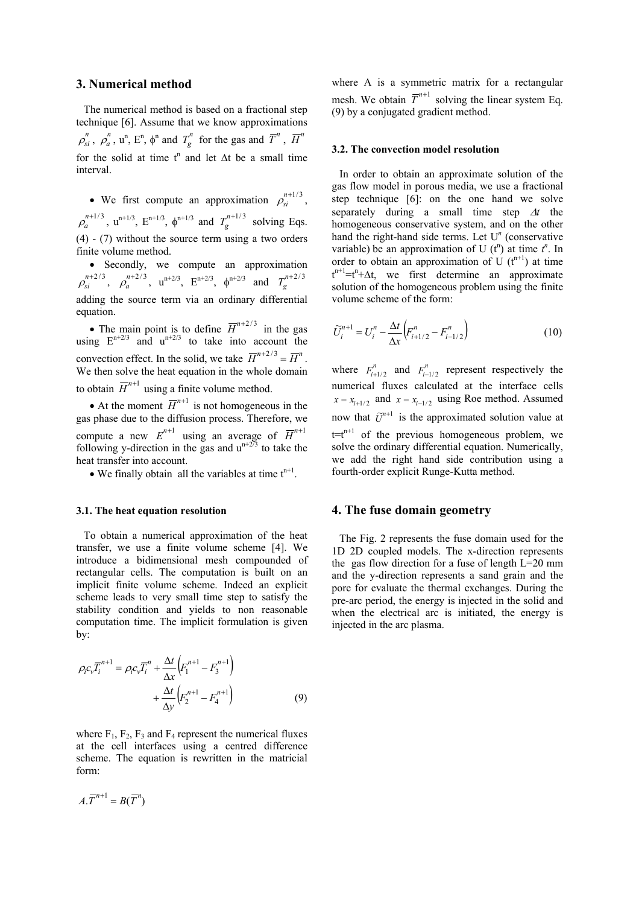### **3. Numerical method**

The numerical method is based on a fractional step technique [6]. Assume that we know approximations  $\rho_{si}^n$ ,  $\rho_a^n$  $\rho_a^n$ ,  $u^n$ ,  $E^n$ ,  $\phi^n$  and  $T_g^n$  for the gas and  $\overline{T}^n$ ,  $\overline{H}^n$ for the solid at time  $t^n$  and let  $\Delta t$  be a small time interval.

• We first compute an approximation  $\rho_{si}^{n+1/3}$ ,  $n + 1/3$  $\rho_a^{n+1/3}$ ,  $u^{n+1/3}$ ,  $E^{n+1/3}$ ,  $\phi^{n+1/3}$  and  $T_g^{n+1/3}$  solving Eqs. (4) - (7) without the source term using a two orders finite volume method.

 • Secondly, we compute an approximation  $\rho_{si}^{n+2/3}, \rho_a^{n+2/3}$  $\rho_a^{n+2/3}$ ,  $u^{n+2/3}$ ,  $E^{n+2/3}$ ,  $\phi^{n+2/3}$  and  $T_g^{n+2/3}$ adding the source term via an ordinary differential equation.

• The main point is to define  $\overline{H}^{n+2/3}$  in the gas using  $E^{n+2/3}$  and  $u^{n+2/3}$  to take into account the convection effect. In the solid, we take  $\overline{H}^{n+2/3} = \overline{H}^n$ . We then solve the heat equation in the whole domain to obtain  $\overline{H}^{n+1}$  using a finite volume method.

• At the moment  $\overline{H}^{n+1}$  is not homogeneous in the gas phase due to the diffusion process. Therefore, we compute a new  $E^{n+1}$  using an average of  $\overline{H}^{n+1}$ following y-direction in the gas and  $u^{n+2/3}$  to take the heat transfer into account.

• We finally obtain all the variables at time  $t^{n+1}$ .

### **3.1. The heat equation resolution**

To obtain a numerical approximation of the heat transfer, we use a finite volume scheme [4]. We introduce a bidimensional mesh compounded of rectangular cells. The computation is built on an implicit finite volume scheme. Indeed an explicit scheme leads to very small time step to satisfy the stability condition and yields to non reasonable computation time. The implicit formulation is given by:

$$
\rho_i c_v \overline{T_i}^{n+1} = \rho_i c_v \overline{T_i}^n + \frac{\Delta t}{\Delta x} \left( F_1^{n+1} - F_3^{n+1} \right) + \frac{\Delta t}{\Delta y} \left( F_2^{n+1} - F_4^{n+1} \right)
$$
(9)

where  $F_1$ ,  $F_2$ ,  $F_3$  and  $F_4$  represent the numerical fluxes at the cell interfaces using a centred difference scheme. The equation is rewritten in the matricial form:

$$
A.\overline{T}^{n+1} = B(\overline{T}^n)
$$

where A is a symmetric matrix for a rectangular mesh. We obtain  $\overline{T}^{n+1}$  solving the linear system Eq. (9) by a conjugated gradient method.

#### **3.2. The convection model resolution**

In order to obtain an approximate solution of the gas flow model in porous media, we use a fractional step technique [6]: on the one hand we solve separately during a small time step ∆*t* the homogeneous conservative system, and on the other hand the right-hand side terms. Let  $U<sup>n</sup>$  (conservative variable) be an approximation of U  $(t^n)$  at time  $t^n$ . In order to obtain an approximation of U  $(t^{n+1})$  at time  $t^{n+1}$ = $t^n + \Delta t$ , we first determine an approximate solution of the homogeneous problem using the finite volume scheme of the form:

$$
\widetilde{U}_{i}^{n+1} = U_{i}^{n} - \frac{\Delta t}{\Delta x} \left( F_{i+1/2}^{n} - F_{i-1/2}^{n} \right)
$$
\n(10)

where  $F_{i+1/2}^n$  and  $F_{i-1/2}^n$  represent respectively the numerical fluxes calculated at the interface cells  $x = x_{i+1/2}$  and  $x = x_{i-1/2}$  using Roe method. Assumed now that  $\tilde{U}^{n+1}$  is the approximated solution value at  $t=t^{n+1}$  of the previous homogeneous problem, we solve the ordinary differential equation. Numerically, we add the right hand side contribution using a fourth-order explicit Runge-Kutta method.

#### **4. The fuse domain geometry**

The Fig. 2 represents the fuse domain used for the 1D 2D coupled models. The x-direction represents the gas flow direction for a fuse of length  $L=20$  mm and the y-direction represents a sand grain and the pore for evaluate the thermal exchanges. During the pre-arc period, the energy is injected in the solid and when the electrical arc is initiated, the energy is injected in the arc plasma.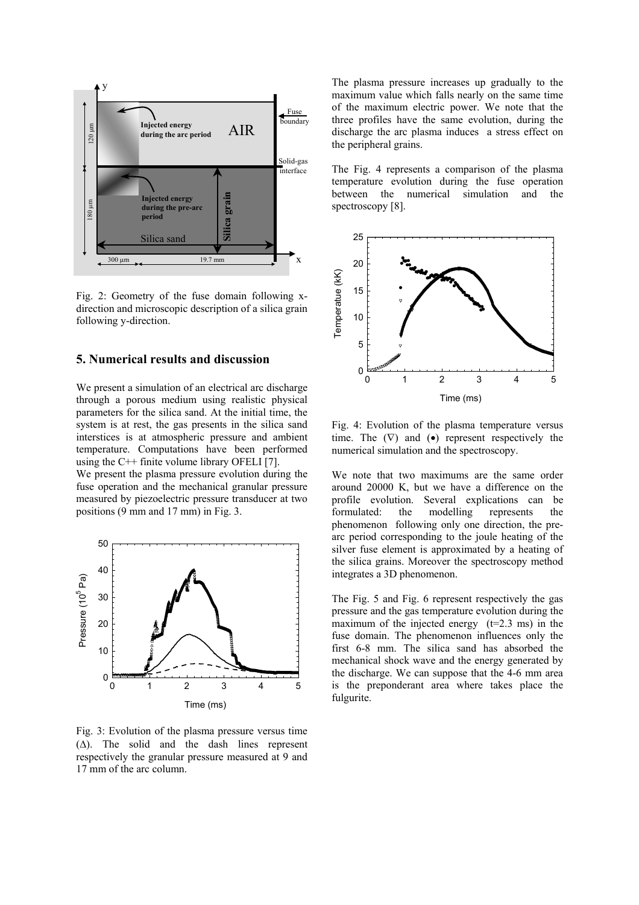

Fig. 2: Geometry of the fuse domain following xdirection and microscopic description of a silica grain following y-direction.

## **5. Numerical results and discussion**

We present a simulation of an electrical arc discharge through a porous medium using realistic physical parameters for the silica sand. At the initial time, the system is at rest, the gas presents in the silica sand interstices is at atmospheric pressure and ambient temperature. Computations have been performed using the C++ finite volume library OFELI [7].

We present the plasma pressure evolution during the fuse operation and the mechanical granular pressure measured by piezoelectric pressure transducer at two positions (9 mm and 17 mm) in Fig. 3.



Fig. 3: Evolution of the plasma pressure versus time (∆). The solid and the dash lines represent respectively the granular pressure measured at 9 and 17 mm of the arc column.

The plasma pressure increases up gradually to the maximum value which falls nearly on the same time of the maximum electric power. We note that the three profiles have the same evolution, during the discharge the arc plasma induces a stress effect on the peripheral grains.

The Fig. 4 represents a comparison of the plasma temperature evolution during the fuse operation between the numerical simulation and the spectroscopy [8].



Fig. 4: Evolution of the plasma temperature versus time. The  $(\nabla)$  and  $(\bullet)$  represent respectively the numerical simulation and the spectroscopy.

We note that two maximums are the same order around 20000 K, but we have a difference on the profile evolution. Several explications can be formulated: the modelling represents the phenomenon following only one direction, the prearc period corresponding to the joule heating of the silver fuse element is approximated by a heating of the silica grains. Moreover the spectroscopy method integrates a 3D phenomenon.

The Fig. 5 and Fig. 6 represent respectively the gas pressure and the gas temperature evolution during the maximum of the injected energy  $(t=2.3 \text{ ms})$  in the fuse domain. The phenomenon influences only the first 6-8 mm. The silica sand has absorbed the mechanical shock wave and the energy generated by the discharge. We can suppose that the 4-6 mm area is the preponderant area where takes place the fulgurite.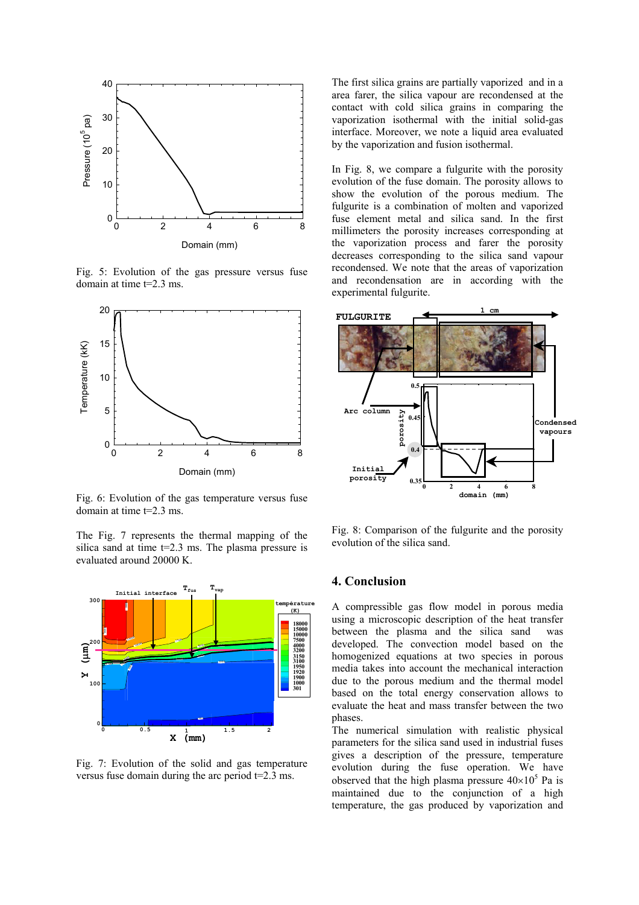

Fig. 5: Evolution of the gas pressure versus fuse domain at time t=2.3 ms.



Fig. 6: Evolution of the gas temperature versus fuse domain at time t=2.3 ms.

The Fig. 7 represents the thermal mapping of the silica sand at time t=2.3 ms. The plasma pressure is evaluated around 20000 K.



Fig. 7: Evolution of the solid and gas temperature versus fuse domain during the arc period  $t=2.3$  ms.

The first silica grains are partially vaporized and in a area farer, the silica vapour are recondensed at the contact with cold silica grains in comparing the vaporization isothermal with the initial solid-gas interface. Moreover, we note a liquid area evaluated by the vaporization and fusion isothermal.

In Fig. 8, we compare a fulgurite with the porosity evolution of the fuse domain. The porosity allows to show the evolution of the porous medium. The fulgurite is a combination of molten and vaporized fuse element metal and silica sand. In the first millimeters the porosity increases corresponding at the vaporization process and farer the porosity decreases corresponding to the silica sand vapour recondensed. We note that the areas of vaporization and recondensation are in according with the experimental fulgurite.



Fig. 8: Comparison of the fulgurite and the porosity evolution of the silica sand.

# **4. Conclusion**

A compressible gas flow model in porous media using a microscopic description of the heat transfer between the plasma and the silica sand was developed. The convection model based on the homogenized equations at two species in porous media takes into account the mechanical interaction due to the porous medium and the thermal model based on the total energy conservation allows to evaluate the heat and mass transfer between the two phases.

The numerical simulation with realistic physical parameters for the silica sand used in industrial fuses gives a description of the pressure, temperature evolution during the fuse operation. We have observed that the high plasma pressure  $40\times10^5$  Pa is maintained due to the conjunction of a high temperature, the gas produced by vaporization and